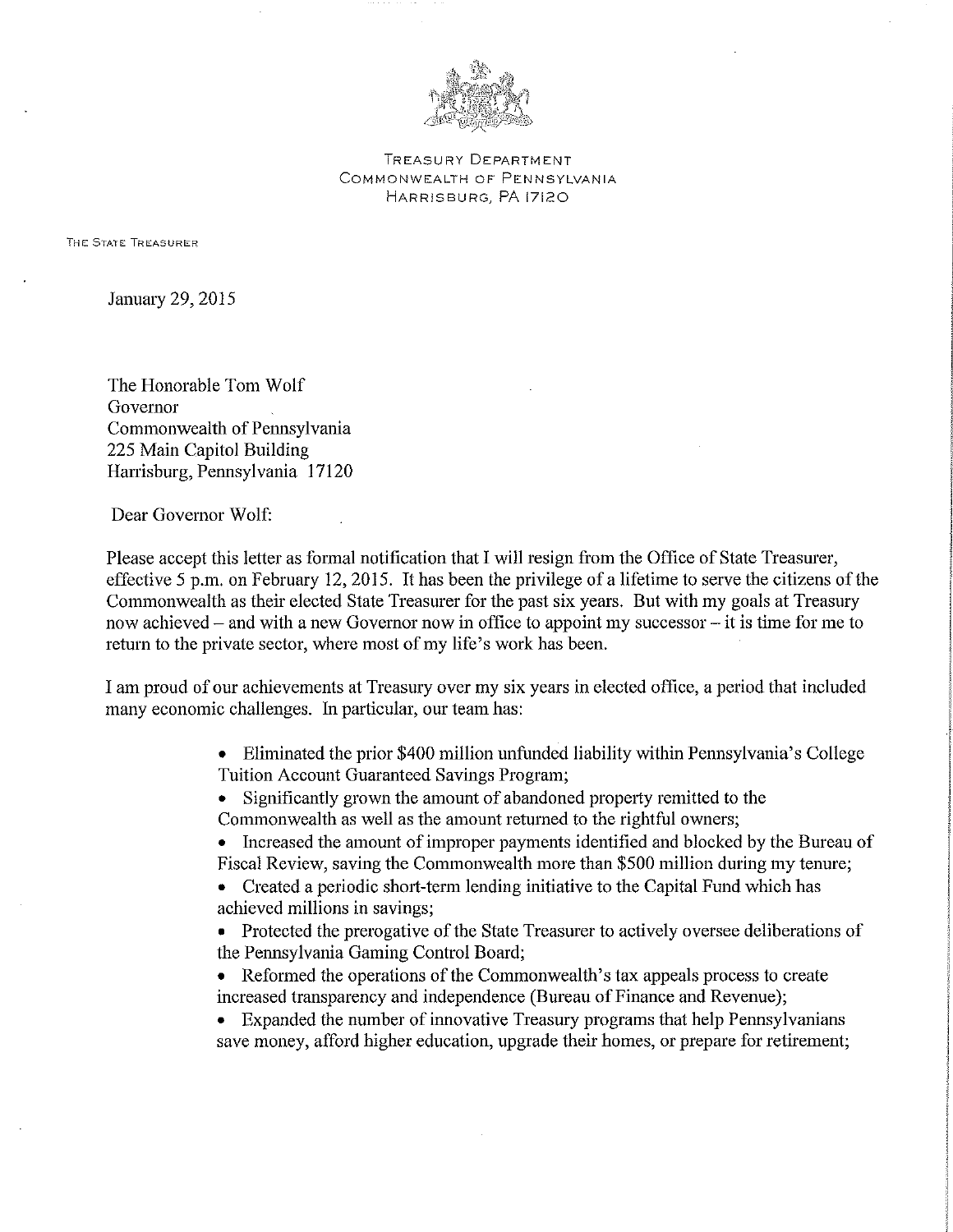

TREASURY DEPARTMENT COMMONWEALTH OF PENNSYLVANIA HARRISBURG, PA 17120

THE STATE TREASURER

January 29, 2015

The Honorable Tom Wolf Governor Commonwealth of Pennsylvania 225 Main Capitol Building Hanisburg, Pennsylvania 17120

Dear Governor Wolf:

Please accept this letter as formal notification that I will resign from the Office of State Treasurer, effective 5 p.m. on February 12, 2015. It has been the privilege of a lifetime to serve the citizens of the Commonwealth as their elected State Treasurer for the past six years. But with my goals at Treasury now achieved – and with a new Governor now in office to appoint my successor – it is time for me to return to the private sector, where most of my life's work has been.

I am proud of our achievements at Treasury over my six years in elected office, a period that included many economic challenges. In particular, our team has:

> • Eliminated the prior \$400 million unfunded liability within Pennsylvania's College Tuition Account Guaranteed Savings Program;

- Significantly grown the amount of abandoned property remitted to the
- Commonwealth as well as the amount returned to the rightful owners;
- Increased the amount of improper payments identified and blocked by the Bureau of Fiscal Review, saving the Commonwealth more than \$500 million during my tenure;
- Created a periodic short-term lending initiative to the Capital Fund which has achieved millions in savings;

• Protected the prerogative of the State Treasurer to actively oversee deliberations of the Pennsylvania Gaming Control Board;

- Reformed the operations of the Commonwealth's tax appeals process to create increased transparency and independence (Bureau of Finance and Revenue);
- Expanded the number of innovative Treasury programs that help Pennsylvanians save money, afford higher education, upgrade their homes, or prepare for retirement;